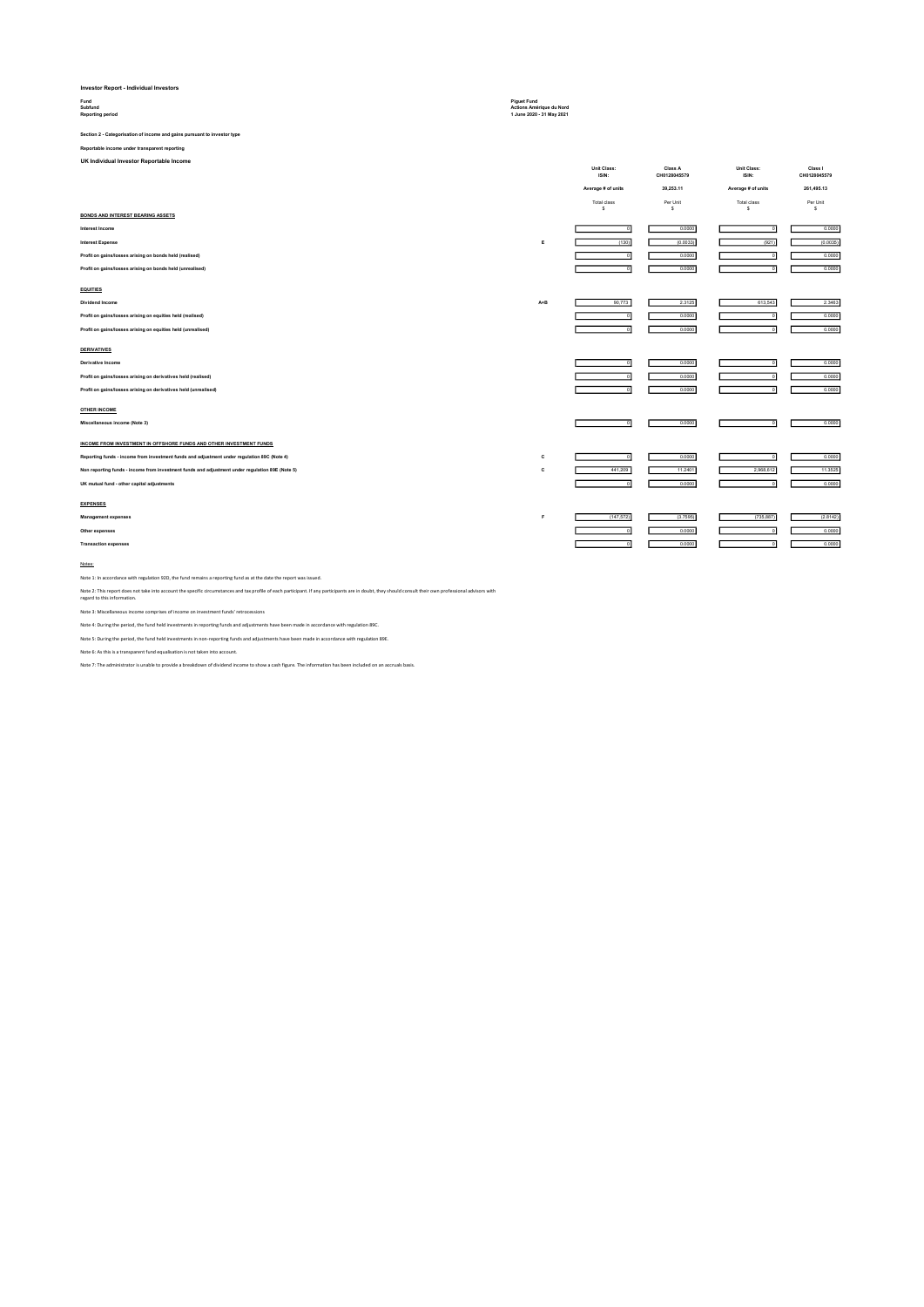## Investor Report - Individual Investors

### Subfund Actions Amérique du Nord Reporting period 1 June 2020 - 31 May 2021

# Section 2 - Categorisation of income and gains pursuant to investor type

Reportable income under transparent reporting

UK Individual Investor Reportable Income

|                                                                                                 |     | Unit Class:<br>ISIN: | Class A<br>CH0128045579  | Unit Class:<br>ISIN:    | Class I<br>CH0128045579 |
|-------------------------------------------------------------------------------------------------|-----|----------------------|--------------------------|-------------------------|-------------------------|
|                                                                                                 |     | Average # of units   | 39,253.11                | Average # of units      | 261,495.13              |
|                                                                                                 |     | Total class<br>s     | Per Unit<br>$\mathbf{s}$ | <b>Total class</b><br>s | Per Unit<br>s           |
| <b>BONDS AND INTEREST BEARING ASSETS</b>                                                        |     |                      |                          |                         |                         |
| Interest Income                                                                                 |     | $\overline{0}$       | 0.0000                   |                         | 0.0000                  |
| <b>Interest Expense</b>                                                                         | E   | (130)                | (0.0033)                 | (921)                   | (0.0035)                |
| Profit on gains/losses arising on bonds held (realised)                                         |     | $\overline{0}$       | 0.0000                   |                         | 0.0000                  |
| Profit on gains/losses arising on bonds held (unrealised)                                       |     | $\overline{0}$       | 0.0000                   |                         | 0.0000                  |
| <b>EQUITIES</b>                                                                                 |     |                      |                          |                         |                         |
| Dividend Income                                                                                 | A+B | 90,773               | 2.3125                   | 613,543                 | 2.3463                  |
| Profit on gains/losses arising on equities held (realised)                                      |     | $^{\circ}$           | 0.0000                   |                         | 0.0000                  |
| Profit on gains/losses arising on equities held (unrealised)                                    |     | $\overline{0}$       | 0.0000                   |                         | 0.0000                  |
| <b>DERIVATIVES</b>                                                                              |     |                      |                          |                         |                         |
| Derivative Income                                                                               |     | $^{\circ}$           | 0.0000                   |                         | 0.0000                  |
| Profit on gains/losses arising on derivatives held (realised)                                   |     | $\circ$              | 0.0000                   |                         | 0.0000                  |
| Profit on gains/losses arising on derivatives held (unrealised)                                 |     | $\Omega$             | 0.0000                   |                         | 0.0000                  |
| <b>OTHER INCOME</b>                                                                             |     |                      |                          |                         |                         |
| Miscellaneous income (Note 3)                                                                   |     | $\Omega$             | 0.0000                   |                         | 0.0000                  |
| INCOME FROM INVESTMENT IN OFFSHORE FUNDS AND OTHER INVESTMENT FUNDS                             |     |                      |                          |                         |                         |
| Reporting funds - income from investment funds and adjustment under regulation 89C (Note 4)     | c   | $\overline{0}$       | 0.0000                   | $\Omega$                | 0.0000                  |
| Non reporting funds - income from investment funds and adjustment under regulation 89E (Note 5) | c   | 441,209              | 11.2401                  | 2,968,612               | 11.3525                 |
| UK mutual fund - other capital adjustments                                                      |     | $\overline{0}$       | 0.0000                   |                         | 0.0000                  |
| <b>EXPENSES</b>                                                                                 |     |                      |                          |                         |                         |
| Management expenses                                                                             | F   | (147, 572)           | (3.7595)                 | (735, 887)              | (2.8142)                |
| Other expenses                                                                                  |     | $\circ$              | 0.0000                   |                         | 0.0000                  |
| <b>Transaction expenses</b>                                                                     |     | $\Omega$             | 0.0000                   |                         | 0.0000                  |
|                                                                                                 |     |                      |                          |                         |                         |

#### Notes:

Note 1: In accordance with regulation 92D, the fund remains a reporting fund as at the date the report was issued.

Note 2: This report does not take into account the specific circumstances and tax profile of each participant. If any participants are in doubt, they should consult their own professional advisors with<br>regard to this infor

Note 3: Miscellaneous income comprises of income on investment funds' retrocessions

Note 4: During the period, the fund held investments in reporting funds and adjustments have been made in accordance with regulation 89C.

Note 5: During the period, the fund held investments in non-reporting funds and adjustments have been made in accordance with regulation 89E.

Note 6: As this is a transparent fund equalisation is not taken into account.

Note 7: The administrator is unable to provide a breakdown of dividend income to show a cash figure. The information has been included on an accruals basis.

### Fund Piguet Fund

|        | ᆔ<br>$\overline{0}$<br>$\overline{0}$       | 0.0000<br>0.0000<br>0.0000   | 이<br>ō<br>$\overline{0}$          |  |
|--------|---------------------------------------------|------------------------------|-----------------------------------|--|
|        | ᇬ                                           | 0.0000                       | ᇬ                                 |  |
| c<br>c | $\overline{0}$<br>441,209<br>$\overline{0}$ | 0.0000<br>11.2401<br>0.0000  | ᅁ<br>2,968,612<br>ᅁ               |  |
| F      | (147, 572)<br>$\overline{0}$<br>ō           | (3.7595)<br>0.0000<br>0.0000 | (735, 887)<br>$\overline{0}$<br>ᇬ |  |